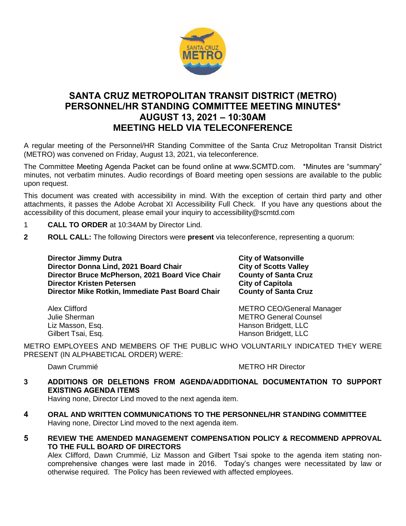

# **SANTA CRUZ METROPOLITAN TRANSIT DISTRICT (METRO) PERSONNEL/HR STANDING COMMITTEE MEETING MINUTES\* AUGUST 13, 2021 – 10:30AM MEETING HELD VIA TELECONFERENCE**

A regular meeting of the Personnel/HR Standing Committee of the Santa Cruz Metropolitan Transit District (METRO) was convened on Friday, August 13, 2021, via teleconference.

The Committee Meeting Agenda Packet can be found online at www.SCMTD.com. \*Minutes are "summary" minutes, not verbatim minutes. Audio recordings of Board meeting open sessions are available to the public upon request.

This document was created with accessibility in mind. With the exception of certain third party and other attachments, it passes the Adobe Acrobat XI Accessibility Full Check. If you have any questions about the accessibility of this document, please email your inquiry to accessibility@scmtd.com

- 1 **CALL TO ORDER** at 10:34AM by Director Lind.
- **2 ROLL CALL:** The following Directors were **present** via teleconference, representing a quorum:

**Director Jimmy Dutra City of Watsonville Director Donna Lind, 2021 Board Chair Chair City of Scotts Valley Director Bruce McPherson, 2021 Board Vice Chair County of Santa Cruz Director Kristen Petersen City of Capitola Director Mike Rotkin, Immediate Past Board Chair County of Santa Cruz**

Alex Clifford **METRO CEO/General Manager** METRO CEO Julie Sherman METRO General Counsel Liz Masson, Esq. No. 1996. The Second Hanson Bridgett, LLC Gilbert Tsai, Esq. No. 1996. The South State of Hanson Bridgett, LLC

METRO EMPLOYEES AND MEMBERS OF THE PUBLIC WHO VOLUNTARILY INDICATED THEY WERE PRESENT (IN ALPHABETICAL ORDER) WERE:

Dawn Crummié **METRO HR Director** 

**3 ADDITIONS OR DELETIONS FROM AGENDA/ADDITIONAL DOCUMENTATION TO SUPPORT EXISTING AGENDA ITEMS** 

Having none, Director Lind moved to the next agenda item.

- **4 ORAL AND WRITTEN COMMUNICATIONS TO THE PERSONNEL/HR STANDING COMMITTEE**  Having none, Director Lind moved to the next agenda item.
- **5 REVIEW THE AMENDED MANAGEMENT COMPENSATION POLICY & RECOMMEND APPROVAL TO THE FULL BOARD OF DIRECTORS**

Alex Clifford, Dawn Crummié, Liz Masson and Gilbert Tsai spoke to the agenda item stating noncomprehensive changes were last made in 2016. Today's changes were necessitated by law or otherwise required. The Policy has been reviewed with affected employees.